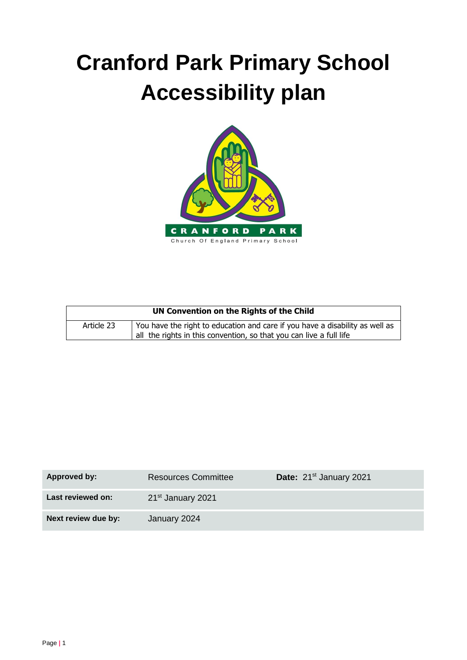# **Cranford Park Primary School Accessibility plan**



| UN Convention on the Rights of the Child |                                                                                                                                                     |  |  |
|------------------------------------------|-----------------------------------------------------------------------------------------------------------------------------------------------------|--|--|
| Article 23                               | You have the right to education and care if you have a disability as well as<br>all the rights in this convention, so that you can live a full life |  |  |

| Approved by:        | <b>Resources Committee</b>    | Date: 21 <sup>st</sup> January 2021 |
|---------------------|-------------------------------|-------------------------------------|
| Last reviewed on:   | 21 <sup>st</sup> January 2021 |                                     |
| Next review due by: | January 2024                  |                                     |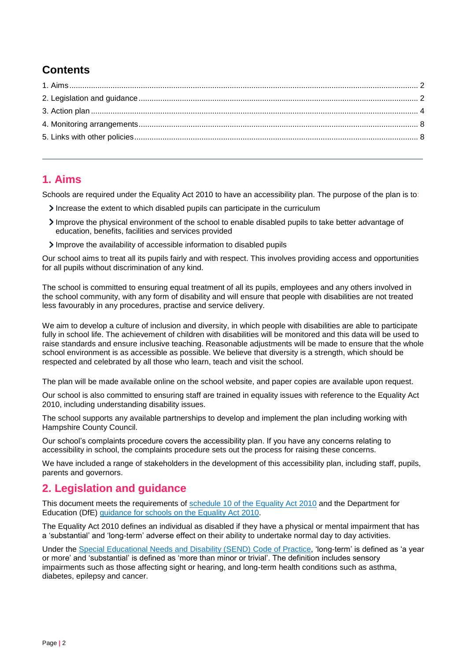# **Contents**

#### <span id="page-1-0"></span>**1. Aims**

Schools are required under the Equality Act 2010 to have an accessibility plan. The purpose of the plan is to:

- Increase the extent to which disabled pupils can participate in the curriculum
- Improve the physical environment of the school to enable disabled pupils to take better advantage of education, benefits, facilities and services provided
- Improve the availability of accessible information to disabled pupils

Our school aims to treat all its pupils fairly and with respect. This involves providing access and opportunities for all pupils without discrimination of any kind.

The school is committed to ensuring equal treatment of all its pupils, employees and any others involved in the school community, with any form of disability and will ensure that people with disabilities are not treated less favourably in any procedures, practise and service delivery.

We aim to develop a culture of inclusion and diversity, in which people with disabilities are able to participate fully in school life. The achievement of children with disabilities will be monitored and this data will be used to raise standards and ensure inclusive teaching. Reasonable adjustments will be made to ensure that the whole school environment is as accessible as possible. We believe that diversity is a strength, which should be respected and celebrated by all those who learn, teach and visit the school.

The plan will be made available online on the school website, and paper copies are available upon request.

Our school is also committed to ensuring staff are trained in equality issues with reference to the Equality Act 2010, including understanding disability issues.

The school supports any available partnerships to develop and implement the plan including working with Hampshire County Council.

Our school's complaints procedure covers the accessibility plan. If you have any concerns relating to accessibility in school, the complaints procedure sets out the process for raising these concerns.

We have included a range of stakeholders in the development of this accessibility plan, including staff, pupils, parents and governors.

#### <span id="page-1-1"></span>**2. Legislation and guidance**

This document meets the requirements of [schedule 10 of the Equality Act 2010](http://www.legislation.gov.uk/ukpga/2010/15/schedule/10) and the Department for Education (DfE) [guidance for schools on the Equality Act 2010.](https://www.gov.uk/government/publications/equality-act-2010-advice-for-schools)

The Equality Act 2010 defines an individual as disabled if they have a physical or mental impairment that has a 'substantial' and 'long-term' adverse effect on their ability to undertake normal day to day activities.

Under the [Special Educational Needs and Disability \(SEND\) Code of Practice,](https://www.gov.uk/government/publications/send-code-of-practice-0-to-25) 'long-term' is defined as 'a year or more' and 'substantial' is defined as 'more than minor or trivial'. The definition includes sensory impairments such as those affecting sight or hearing, and long-term health conditions such as asthma, diabetes, epilepsy and cancer.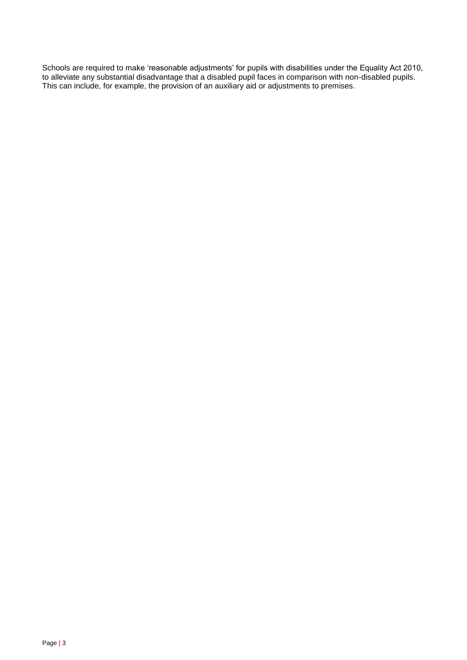Schools are required to make 'reasonable adjustments' for pupils with disabilities under the Equality Act 2010, to alleviate any substantial disadvantage that a disabled pupil faces in comparison with non-disabled pupils. This can include, for example, the provision of an auxiliary aid or adjustments to premises.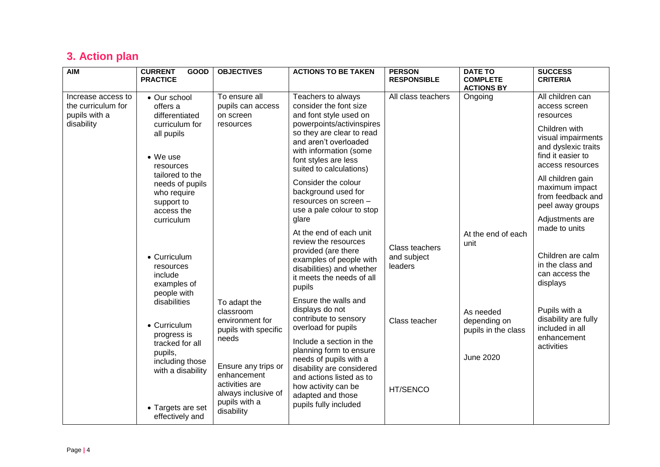# **3. Action plan**

<span id="page-3-0"></span>

| <b>AIM</b>                                                                                                        | <b>CURRENT</b><br>GOOD<br><b>PRACTICE</b>                                            | <b>OBJECTIVES</b>                                                                                                                                                                  | <b>ACTIONS TO BE TAKEN</b>                                                                                                                                   | <b>PERSON</b><br><b>RESPONSIBLE</b>      | <b>DATE TO</b><br><b>COMPLETE</b><br><b>ACTIONS BY</b> | <b>SUCCESS</b><br><b>CRITERIA</b>                                                                   |
|-------------------------------------------------------------------------------------------------------------------|--------------------------------------------------------------------------------------|------------------------------------------------------------------------------------------------------------------------------------------------------------------------------------|--------------------------------------------------------------------------------------------------------------------------------------------------------------|------------------------------------------|--------------------------------------------------------|-----------------------------------------------------------------------------------------------------|
| Increase access to<br>the curriculum for<br>pupils with a                                                         | • Our school<br>offers a<br>differentiated                                           | To ensure all<br>pupils can access<br>on screen                                                                                                                                    | Teachers to always<br>consider the font size<br>and font style used on                                                                                       | All class teachers                       | Ongoing                                                | All children can<br>access screen<br>resources                                                      |
| disability                                                                                                        | curriculum for<br>all pupils<br>• We use<br>resources                                | resources                                                                                                                                                                          | powerpoints/activinspires<br>so they are clear to read<br>and aren't overloaded<br>with information (some<br>font styles are less<br>suited to calculations) |                                          |                                                        | Children with<br>visual impairments<br>and dyslexic traits<br>find it easier to<br>access resources |
|                                                                                                                   | tailored to the<br>needs of pupils<br>who require<br>support to<br>access the        |                                                                                                                                                                                    | Consider the colour<br>background used for<br>resources on screen -<br>use a pale colour to stop                                                             |                                          |                                                        | All children gain<br>maximum impact<br>from feedback and<br>peel away groups                        |
|                                                                                                                   | curriculum                                                                           |                                                                                                                                                                                    | glare<br>At the end of each unit<br>review the resources                                                                                                     |                                          | At the end of each                                     | Adjustments are<br>made to units                                                                    |
|                                                                                                                   | • Curriculum<br>resources<br>include<br>examples of<br>people with                   |                                                                                                                                                                                    | provided (are there<br>examples of people with<br>disabilities) and whether<br>it meets the needs of all<br>pupils                                           | Class teachers<br>and subject<br>leaders | unit                                                   | Children are calm<br>in the class and<br>can access the<br>displays                                 |
| disabilities<br>• Curriculum<br>progress is<br>tracked for all<br>pupils,<br>including those<br>with a disability |                                                                                      | To adapt the<br>classroom<br>environment for<br>pupils with specific                                                                                                               | Ensure the walls and<br>displays do not<br>contribute to sensory<br>overload for pupils                                                                      | Class teacher                            | As needed<br>depending on<br>pupils in the class       | Pupils with a<br>disability are fully<br>included in all                                            |
|                                                                                                                   | needs<br>Ensure any trips or<br>enhancement<br>activities are<br>always inclusive of | Include a section in the<br>planning form to ensure<br>needs of pupils with a<br>disability are considered<br>and actions listed as to<br>how activity can be<br>adapted and those | HT/SENCO                                                                                                                                                     | <b>June 2020</b>                         | enhancement<br>activities                              |                                                                                                     |
|                                                                                                                   | • Targets are set<br>effectively and                                                 | pupils with a<br>disability                                                                                                                                                        | pupils fully included                                                                                                                                        |                                          |                                                        |                                                                                                     |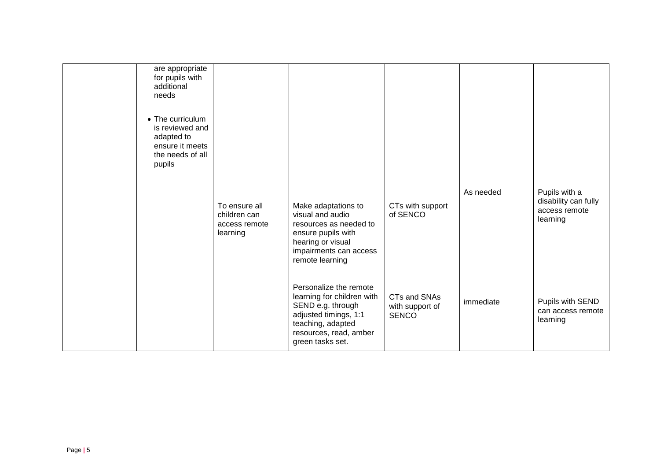| are appropriate<br>for pupils with<br>additional<br>needs<br>• The curriculum<br>is reviewed and<br>adapted to<br>ensure it meets<br>the needs of all<br>pupils |                                                            |                                                                                                                                                                       |                                                 |           |                                                                    |
|-----------------------------------------------------------------------------------------------------------------------------------------------------------------|------------------------------------------------------------|-----------------------------------------------------------------------------------------------------------------------------------------------------------------------|-------------------------------------------------|-----------|--------------------------------------------------------------------|
|                                                                                                                                                                 | To ensure all<br>children can<br>access remote<br>learning | Make adaptations to<br>visual and audio<br>resources as needed to<br>ensure pupils with<br>hearing or visual<br>impairments can access<br>remote learning             | CTs with support<br>of SENCO                    | As needed | Pupils with a<br>disability can fully<br>access remote<br>learning |
|                                                                                                                                                                 |                                                            | Personalize the remote<br>learning for children with<br>SEND e.g. through<br>adjusted timings, 1:1<br>teaching, adapted<br>resources, read, amber<br>green tasks set. | CTs and SNAs<br>with support of<br><b>SENCO</b> | immediate | Pupils with SEND<br>can access remote<br>learning                  |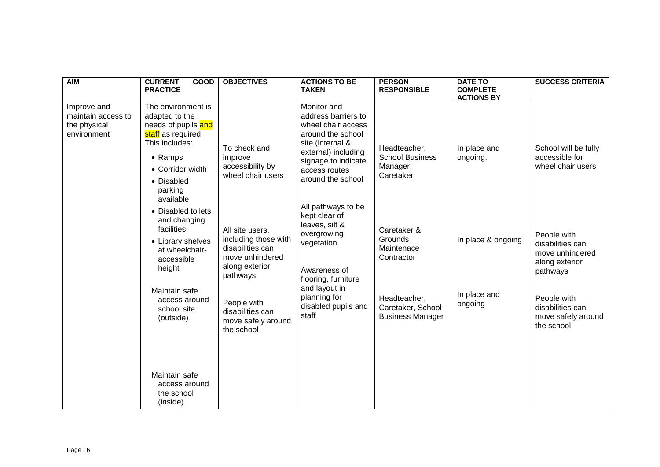| <b>AIM</b>                                                       | <b>CURRENT</b><br><b>GOOD</b><br><b>PRACTICE</b>                                                                                                                                                                                                                                                                                                                  | <b>OBJECTIVES</b>                                                                                                                                                                                                                                       | <b>ACTIONS TO BE</b><br><b>TAKEN</b>                                                                                                                                                                                                                                                                                                                                                | <b>PERSON</b><br><b>RESPONSIBLE</b>                                                                                                                                                   | <b>DATE TO</b><br><b>COMPLETE</b>                                                              | <b>SUCCESS CRITERIA</b>                                                                                                                                                                                                |
|------------------------------------------------------------------|-------------------------------------------------------------------------------------------------------------------------------------------------------------------------------------------------------------------------------------------------------------------------------------------------------------------------------------------------------------------|---------------------------------------------------------------------------------------------------------------------------------------------------------------------------------------------------------------------------------------------------------|-------------------------------------------------------------------------------------------------------------------------------------------------------------------------------------------------------------------------------------------------------------------------------------------------------------------------------------------------------------------------------------|---------------------------------------------------------------------------------------------------------------------------------------------------------------------------------------|------------------------------------------------------------------------------------------------|------------------------------------------------------------------------------------------------------------------------------------------------------------------------------------------------------------------------|
| Improve and<br>maintain access to<br>the physical<br>environment | The environment is<br>adapted to the<br>needs of pupils and<br>staff as required.<br>This includes:<br>$\bullet$ Ramps<br>• Corridor width<br>• Disabled<br>parking<br>available<br>• Disabled toilets<br>and changing<br>facilities<br>• Library shelves<br>at wheelchair-<br>accessible<br>height<br>Maintain safe<br>access around<br>school site<br>(outside) | To check and<br>improve<br>accessibility by<br>wheel chair users<br>All site users,<br>including those with<br>disabilities can<br>move unhindered<br>along exterior<br>pathways<br>People with<br>disabilities can<br>move safely around<br>the school | Monitor and<br>address barriers to<br>wheel chair access<br>around the school<br>site (internal &<br>external) including<br>signage to indicate<br>access routes<br>around the school<br>All pathways to be<br>kept clear of<br>leaves, silt &<br>overgrowing<br>vegetation<br>Awareness of<br>flooring, furniture<br>and layout in<br>planning for<br>disabled pupils and<br>staff | Headteacher,<br><b>School Business</b><br>Manager,<br>Caretaker<br>Caretaker &<br>Grounds<br>Maintenace<br>Contractor<br>Headteacher,<br>Caretaker, School<br><b>Business Manager</b> | <b>ACTIONS BY</b><br>In place and<br>ongoing.<br>In place & ongoing<br>In place and<br>ongoing | School will be fully<br>accessible for<br>wheel chair users<br>People with<br>disabilities can<br>move unhindered<br>along exterior<br>pathways<br>People with<br>disabilities can<br>move safely around<br>the school |
|                                                                  | Maintain safe<br>access around<br>the school<br>(inside)                                                                                                                                                                                                                                                                                                          |                                                                                                                                                                                                                                                         |                                                                                                                                                                                                                                                                                                                                                                                     |                                                                                                                                                                                       |                                                                                                |                                                                                                                                                                                                                        |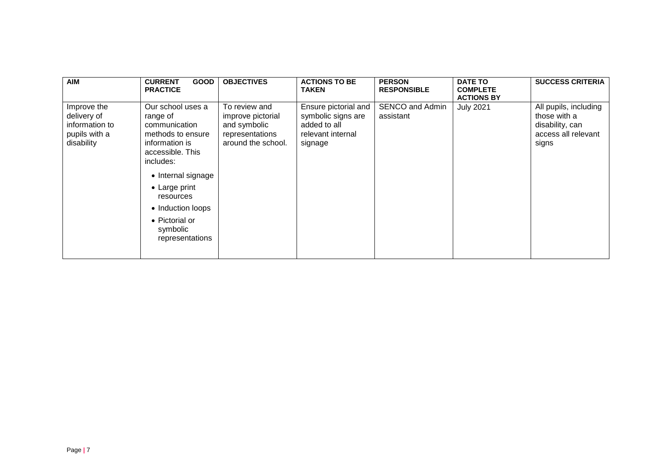| <b>AIM</b>                                                                  | <b>CURRENT</b><br><b>GOOD</b><br><b>PRACTICE</b>                                                                                                                                                                                                         | <b>OBJECTIVES</b>                                                                           | <b>ACTIONS TO BE</b><br><b>TAKEN</b>                                                       | <b>PERSON</b><br><b>RESPONSIBLE</b> | <b>DATE TO</b><br><b>COMPLETE</b><br><b>ACTIONS BY</b> | <b>SUCCESS CRITERIA</b>                                                                  |
|-----------------------------------------------------------------------------|----------------------------------------------------------------------------------------------------------------------------------------------------------------------------------------------------------------------------------------------------------|---------------------------------------------------------------------------------------------|--------------------------------------------------------------------------------------------|-------------------------------------|--------------------------------------------------------|------------------------------------------------------------------------------------------|
| Improve the<br>delivery of<br>information to<br>pupils with a<br>disability | Our school uses a<br>range of<br>communication<br>methods to ensure<br>information is<br>accessible. This<br>includes:<br>• Internal signage<br>$\bullet$ Large print<br>resources<br>• Induction loops<br>• Pictorial or<br>symbolic<br>representations | To review and<br>improve pictorial<br>and symbolic<br>representations<br>around the school. | Ensure pictorial and<br>symbolic signs are<br>added to all<br>relevant internal<br>signage | SENCO and Admin<br>assistant        | <b>July 2021</b>                                       | All pupils, including<br>those with a<br>disability, can<br>access all relevant<br>signs |